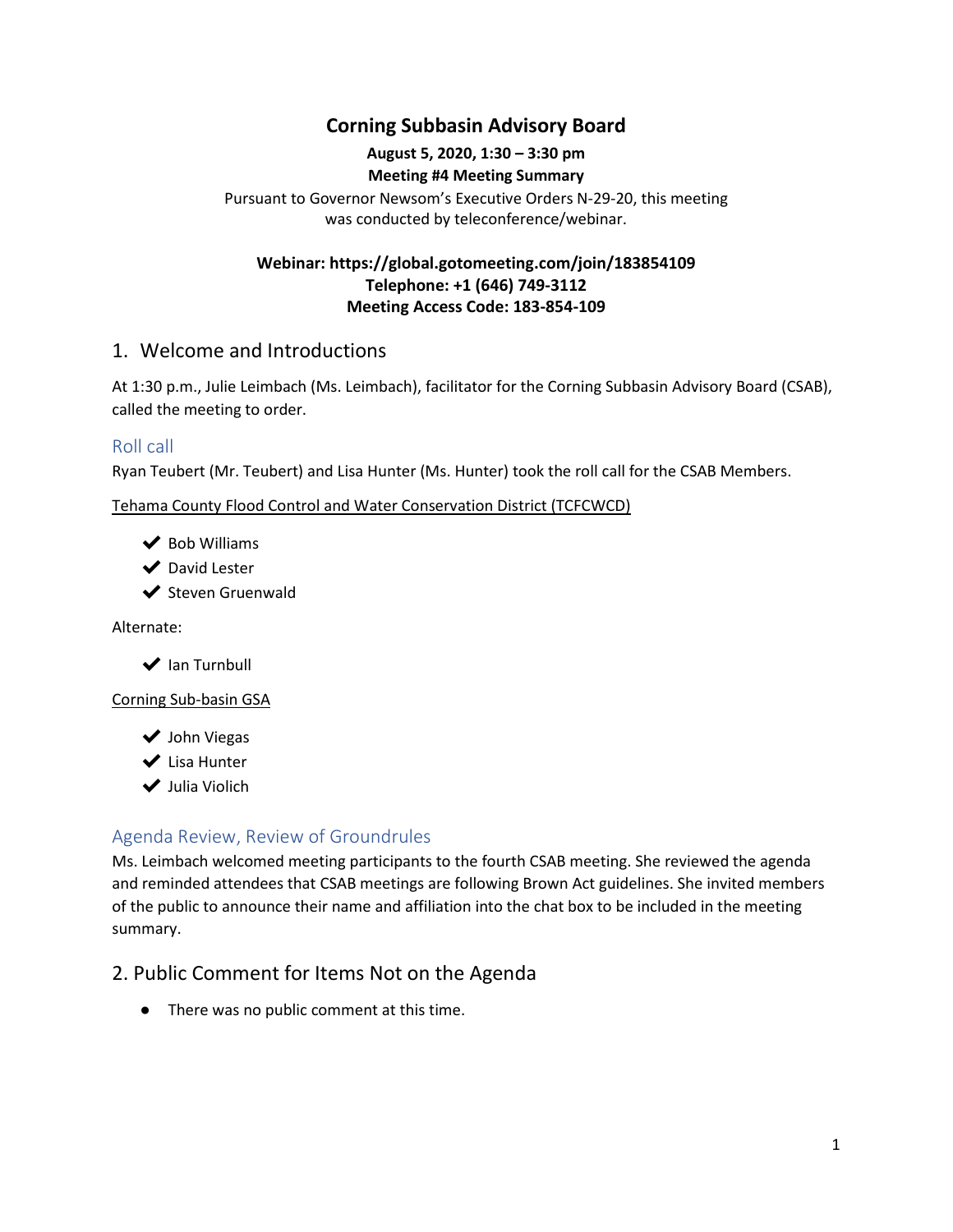# **Corning Subbasin Advisory Board**

## **August 5, 2020, 1:30 – 3:30 pm**

#### **Meeting #4 Meeting Summary**

Pursuant to Governor Newsom's Executive Orders N-29-20, this meeting was conducted by teleconference/webinar.

## **Webinar: https://global.gotomeeting.com/join/183854109 Telephone: +1 (646) 749-3112 Meeting Access Code: 183-854-109**

## 1. Welcome and Introductions

At 1:30 p.m., Julie Leimbach (Ms. Leimbach), facilitator for the Corning Subbasin Advisory Board (CSAB), called the meeting to order.

## Roll call

Ryan Teubert (Mr. Teubert) and Lisa Hunter (Ms. Hunter) took the roll call for the CSAB Members.

Tehama County Flood Control and Water Conservation District (TCFCWCD)

- $\vee$  Bob Williams
- ◆ David Lester
- ◆ Steven Gruenwald

Alternate:

 $\blacktriangleright$  Ian Turnbull

#### Corning Sub-basin GSA

- ◆ John Viegas
- ✔ Lisa Hunter
- ✔ Julia Violich

## Agenda Review, Review of Groundrules

Ms. Leimbach welcomed meeting participants to the fourth CSAB meeting. She reviewed the agenda and reminded attendees that CSAB meetings are following Brown Act guidelines. She invited members of the public to announce their name and affiliation into the chat box to be included in the meeting summary.

# 2. Public Comment for Items Not on the Agenda

● There was no public comment at this time.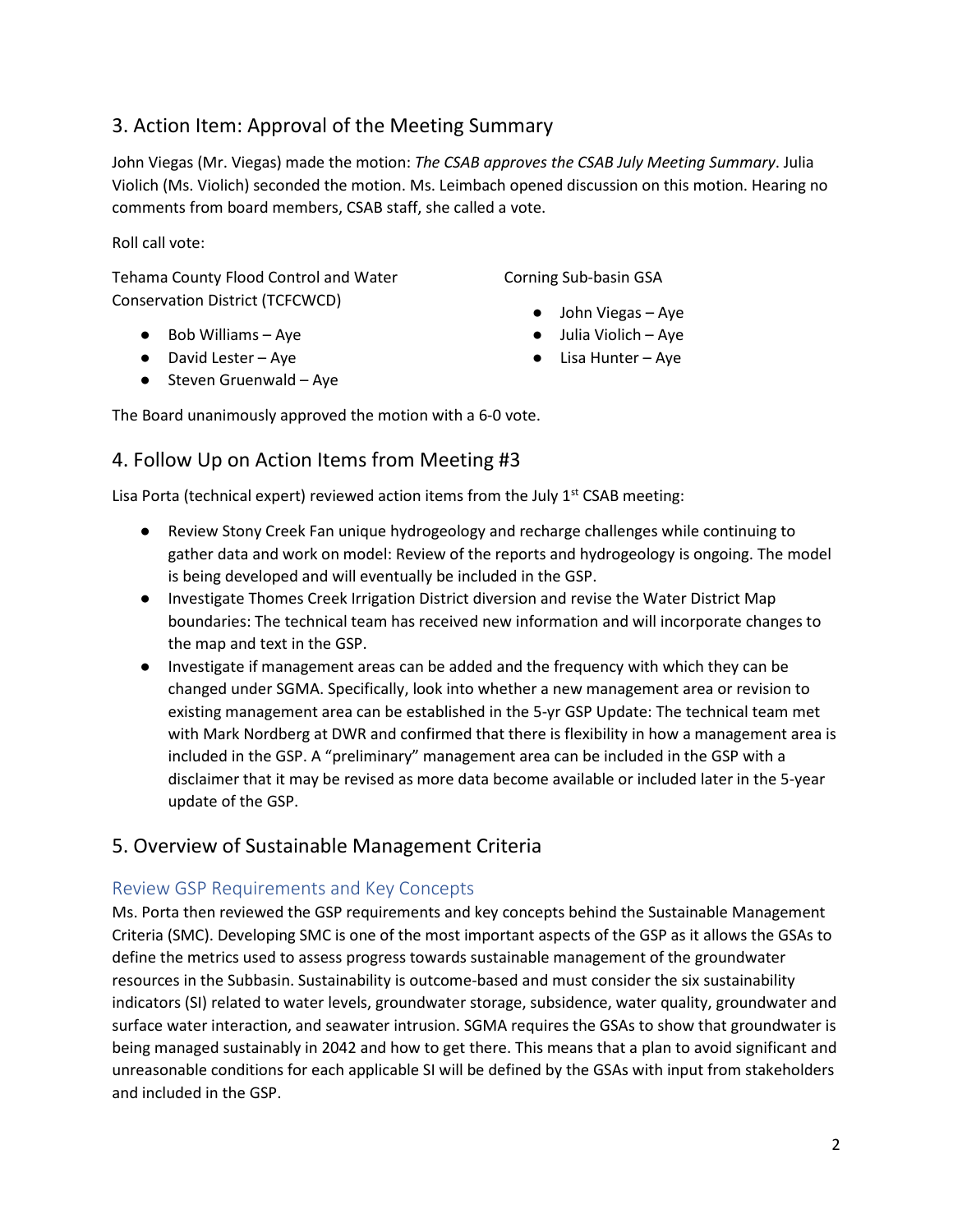# 3. Action Item: Approval of the Meeting Summary

John Viegas (Mr. Viegas) made the motion: *The CSAB approves the CSAB July Meeting Summary*. Julia Violich (Ms. Violich) seconded the motion. Ms. Leimbach opened discussion on this motion. Hearing no comments from board members, CSAB staff, she called a vote.

Roll call vote:

Tehama County Flood Control and Water Conservation District (TCFCWCD)

- Bob Williams Aye
- David Lester Aye
- Steven Gruenwald Aye

Corning Sub-basin GSA

- John Viegas Aye
- Julia Violich Aye
- Lisa Hunter Aye

The Board unanimously approved the motion with a 6-0 vote.

# 4. Follow Up on Action Items from Meeting #3

Lisa Porta (technical expert) reviewed action items from the July  $1<sup>st</sup>$  CSAB meeting:

- Review Stony Creek Fan unique hydrogeology and recharge challenges while continuing to gather data and work on model: Review of the reports and hydrogeology is ongoing. The model is being developed and will eventually be included in the GSP.
- Investigate Thomes Creek Irrigation District diversion and revise the Water District Map boundaries: The technical team has received new information and will incorporate changes to the map and text in the GSP.
- Investigate if management areas can be added and the frequency with which they can be changed under SGMA. Specifically, look into whether a new management area or revision to existing management area can be established in the 5-yr GSP Update: The technical team met with Mark Nordberg at DWR and confirmed that there is flexibility in how a management area is included in the GSP. A "preliminary" management area can be included in the GSP with a disclaimer that it may be revised as more data become available or included later in the 5-year update of the GSP.

# 5. Overview of Sustainable Management Criteria

## Review GSP Requirements and Key Concepts

Ms. Porta then reviewed the GSP requirements and key concepts behind the Sustainable Management Criteria (SMC). Developing SMC is one of the most important aspects of the GSP as it allows the GSAs to define the metrics used to assess progress towards sustainable management of the groundwater resources in the Subbasin. Sustainability is outcome-based and must consider the six sustainability indicators (SI) related to water levels, groundwater storage, subsidence, water quality, groundwater and surface water interaction, and seawater intrusion. SGMA requires the GSAs to show that groundwater is being managed sustainably in 2042 and how to get there. This means that a plan to avoid significant and unreasonable conditions for each applicable SI will be defined by the GSAs with input from stakeholders and included in the GSP.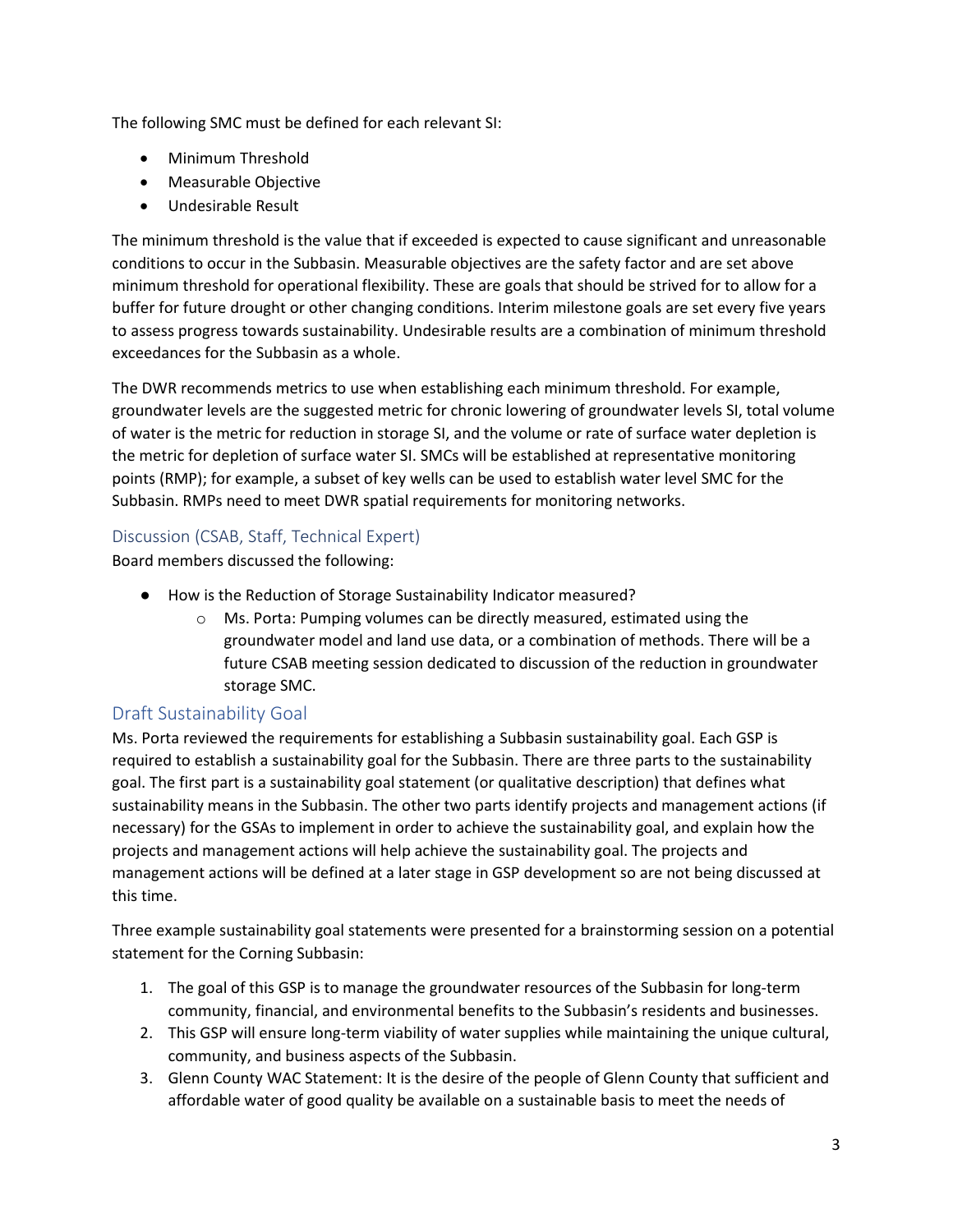The following SMC must be defined for each relevant SI:

- Minimum Threshold
- Measurable Objective
- Undesirable Result

The minimum threshold is the value that if exceeded is expected to cause significant and unreasonable conditions to occur in the Subbasin. Measurable objectives are the safety factor and are set above minimum threshold for operational flexibility. These are goals that should be strived for to allow for a buffer for future drought or other changing conditions. Interim milestone goals are set every five years to assess progress towards sustainability. Undesirable results are a combination of minimum threshold exceedances for the Subbasin as a whole.

The DWR recommends metrics to use when establishing each minimum threshold. For example, groundwater levels are the suggested metric for chronic lowering of groundwater levels SI, total volume of water is the metric for reduction in storage SI, and the volume or rate of surface water depletion is the metric for depletion of surface water SI. SMCs will be established at representative monitoring points (RMP); for example, a subset of key wells can be used to establish water level SMC for the Subbasin. RMPs need to meet DWR spatial requirements for monitoring networks.

#### Discussion (CSAB, Staff, Technical Expert)

Board members discussed the following:

- How is the Reduction of Storage Sustainability Indicator measured?
	- o Ms. Porta: Pumping volumes can be directly measured, estimated using the groundwater model and land use data, or a combination of methods. There will be a future CSAB meeting session dedicated to discussion of the reduction in groundwater storage SMC.

## Draft Sustainability Goal

Ms. Porta reviewed the requirements for establishing a Subbasin sustainability goal. Each GSP is required to establish a sustainability goal for the Subbasin. There are three parts to the sustainability goal. The first part is a sustainability goal statement (or qualitative description) that defines what sustainability means in the Subbasin. The other two parts identify projects and management actions (if necessary) for the GSAs to implement in order to achieve the sustainability goal, and explain how the projects and management actions will help achieve the sustainability goal. The projects and management actions will be defined at a later stage in GSP development so are not being discussed at this time.

Three example sustainability goal statements were presented for a brainstorming session on a potential statement for the Corning Subbasin:

- 1. The goal of this GSP is to manage the groundwater resources of the Subbasin for long-term community, financial, and environmental benefits to the Subbasin's residents and businesses.
- 2. This GSP will ensure long-term viability of water supplies while maintaining the unique cultural, community, and business aspects of the Subbasin.
- 3. Glenn County WAC Statement: It is the desire of the people of Glenn County that sufficient and affordable water of good quality be available on a sustainable basis to meet the needs of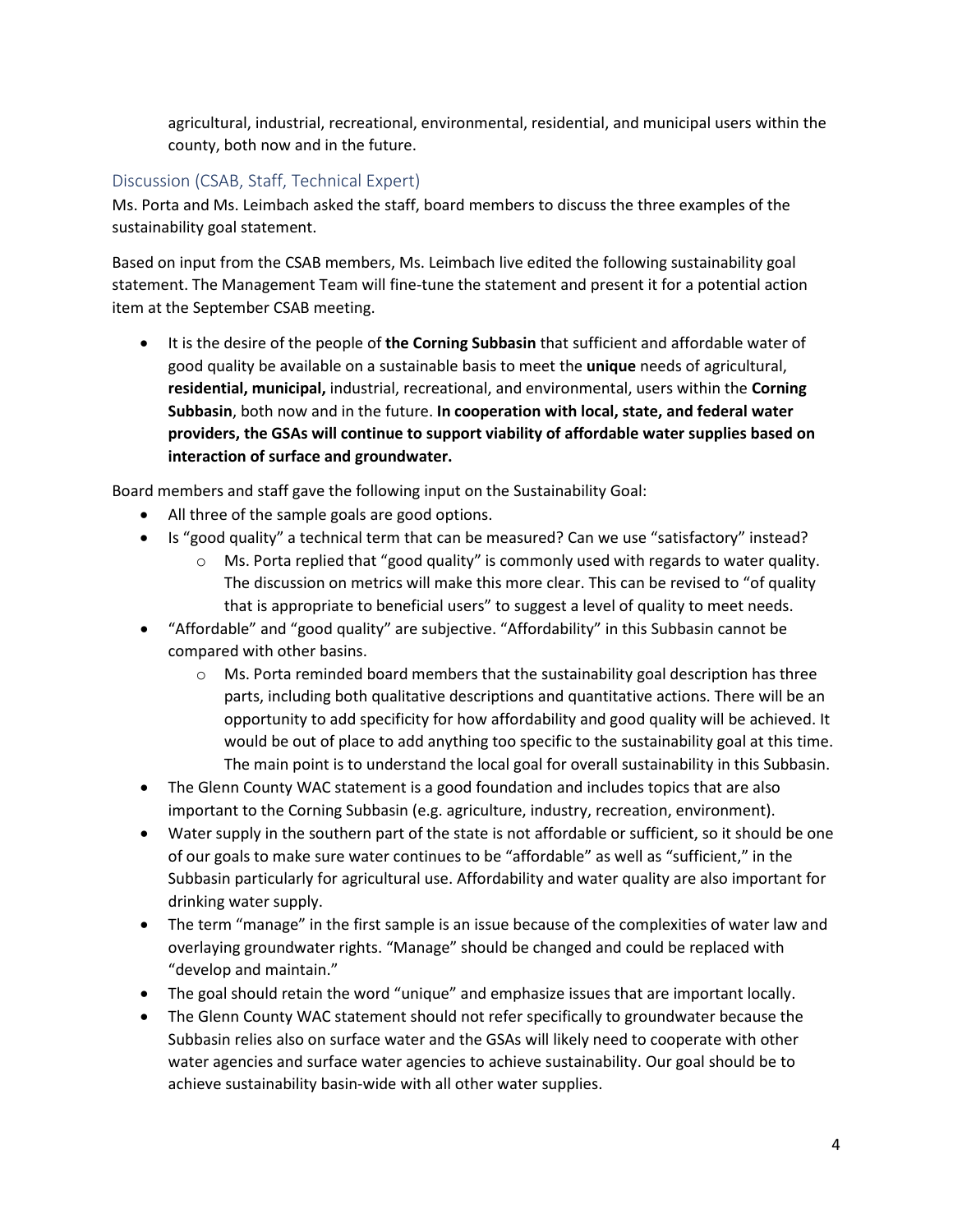agricultural, industrial, recreational, environmental, residential, and municipal users within the county, both now and in the future.

## Discussion (CSAB, Staff, Technical Expert)

Ms. Porta and Ms. Leimbach asked the staff, board members to discuss the three examples of the sustainability goal statement.

Based on input from the CSAB members, Ms. Leimbach live edited the following sustainability goal statement. The Management Team will fine-tune the statement and present it for a potential action item at the September CSAB meeting.

• It is the desire of the people of **the Corning Subbasin** that sufficient and affordable water of good quality be available on a sustainable basis to meet the **unique** needs of agricultural, **residential, municipal,** industrial, recreational, and environmental, users within the **Corning Subbasin**, both now and in the future. **In cooperation with local, state, and federal water providers, the GSAs will continue to support viability of affordable water supplies based on interaction of surface and groundwater.**

Board members and staff gave the following input on the Sustainability Goal:

- All three of the sample goals are good options.
- Is "good quality" a technical term that can be measured? Can we use "satisfactory" instead?
	- $\circ$  Ms. Porta replied that "good quality" is commonly used with regards to water quality. The discussion on metrics will make this more clear. This can be revised to "of quality that is appropriate to beneficial users" to suggest a level of quality to meet needs.
- "Affordable" and "good quality" are subjective. "Affordability" in this Subbasin cannot be compared with other basins.
	- $\circ$  Ms. Porta reminded board members that the sustainability goal description has three parts, including both qualitative descriptions and quantitative actions. There will be an opportunity to add specificity for how affordability and good quality will be achieved. It would be out of place to add anything too specific to the sustainability goal at this time. The main point is to understand the local goal for overall sustainability in this Subbasin.
- The Glenn County WAC statement is a good foundation and includes topics that are also important to the Corning Subbasin (e.g. agriculture, industry, recreation, environment).
- Water supply in the southern part of the state is not affordable or sufficient, so it should be one of our goals to make sure water continues to be "affordable" as well as "sufficient," in the Subbasin particularly for agricultural use. Affordability and water quality are also important for drinking water supply.
- The term "manage" in the first sample is an issue because of the complexities of water law and overlaying groundwater rights. "Manage" should be changed and could be replaced with "develop and maintain."
- The goal should retain the word "unique" and emphasize issues that are important locally.
- The Glenn County WAC statement should not refer specifically to groundwater because the Subbasin relies also on surface water and the GSAs will likely need to cooperate with other water agencies and surface water agencies to achieve sustainability. Our goal should be to achieve sustainability basin-wide with all other water supplies.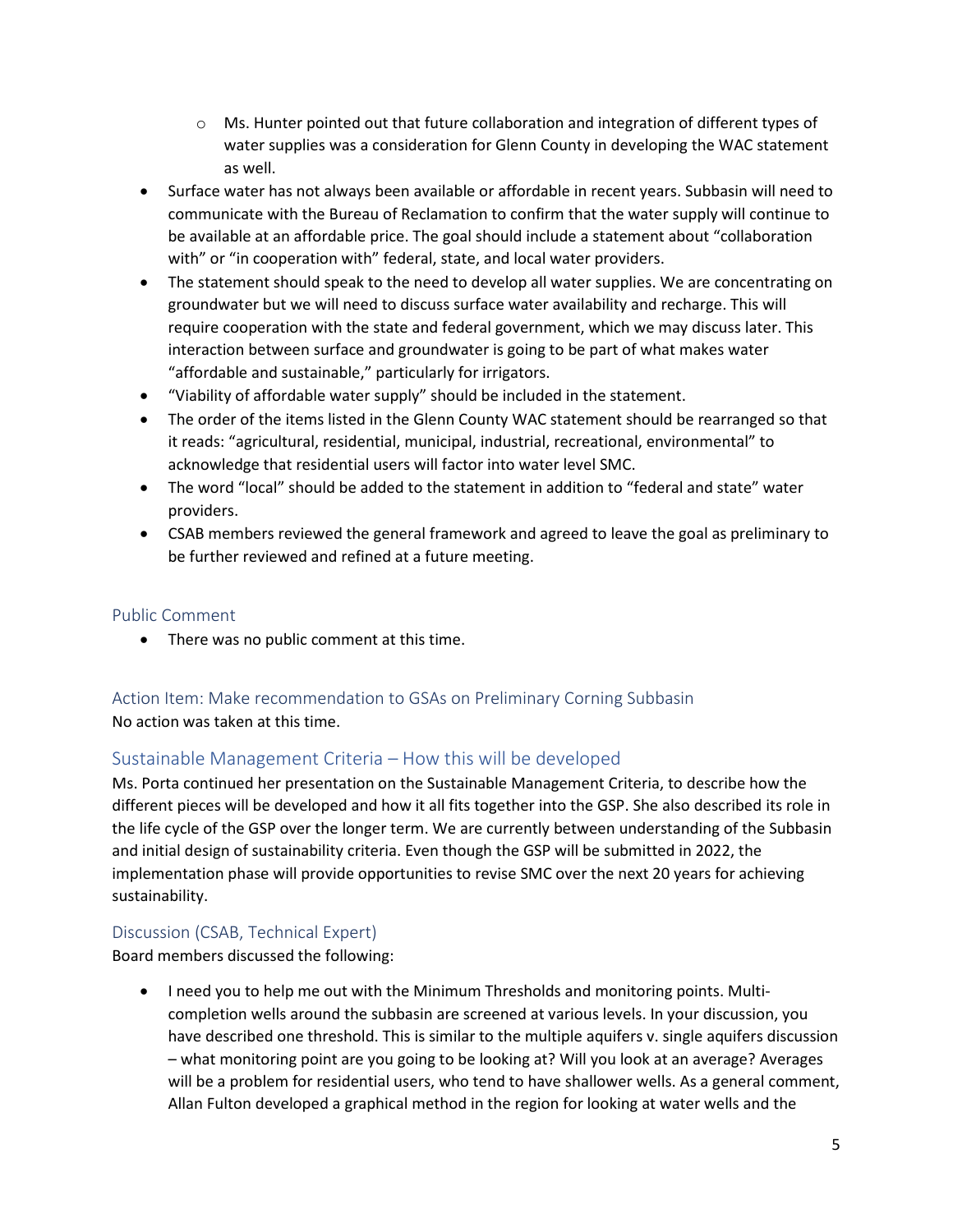- $\circ$  Ms. Hunter pointed out that future collaboration and integration of different types of water supplies was a consideration for Glenn County in developing the WAC statement as well.
- Surface water has not always been available or affordable in recent years. Subbasin will need to communicate with the Bureau of Reclamation to confirm that the water supply will continue to be available at an affordable price. The goal should include a statement about "collaboration with" or "in cooperation with" federal, state, and local water providers.
- The statement should speak to the need to develop all water supplies. We are concentrating on groundwater but we will need to discuss surface water availability and recharge. This will require cooperation with the state and federal government, which we may discuss later. This interaction between surface and groundwater is going to be part of what makes water "affordable and sustainable," particularly for irrigators.
- "Viability of affordable water supply" should be included in the statement.
- The order of the items listed in the Glenn County WAC statement should be rearranged so that it reads: "agricultural, residential, municipal, industrial, recreational, environmental" to acknowledge that residential users will factor into water level SMC.
- The word "local" should be added to the statement in addition to "federal and state" water providers.
- CSAB members reviewed the general framework and agreed to leave the goal as preliminary to be further reviewed and refined at a future meeting.

#### Public Comment

• There was no public comment at this time.

## Action Item: Make recommendation to GSAs on Preliminary Corning Subbasin No action was taken at this time.

## Sustainable Management Criteria – How this will be developed

Ms. Porta continued her presentation on the Sustainable Management Criteria, to describe how the different pieces will be developed and how it all fits together into the GSP. She also described its role in the life cycle of the GSP over the longer term. We are currently between understanding of the Subbasin and initial design of sustainability criteria. Even though the GSP will be submitted in 2022, the implementation phase will provide opportunities to revise SMC over the next 20 years for achieving sustainability.

## Discussion (CSAB, Technical Expert)

Board members discussed the following:

• I need you to help me out with the Minimum Thresholds and monitoring points. Multicompletion wells around the subbasin are screened at various levels. In your discussion, you have described one threshold. This is similar to the multiple aquifers v. single aquifers discussion – what monitoring point are you going to be looking at? Will you look at an average? Averages will be a problem for residential users, who tend to have shallower wells. As a general comment, Allan Fulton developed a graphical method in the region for looking at water wells and the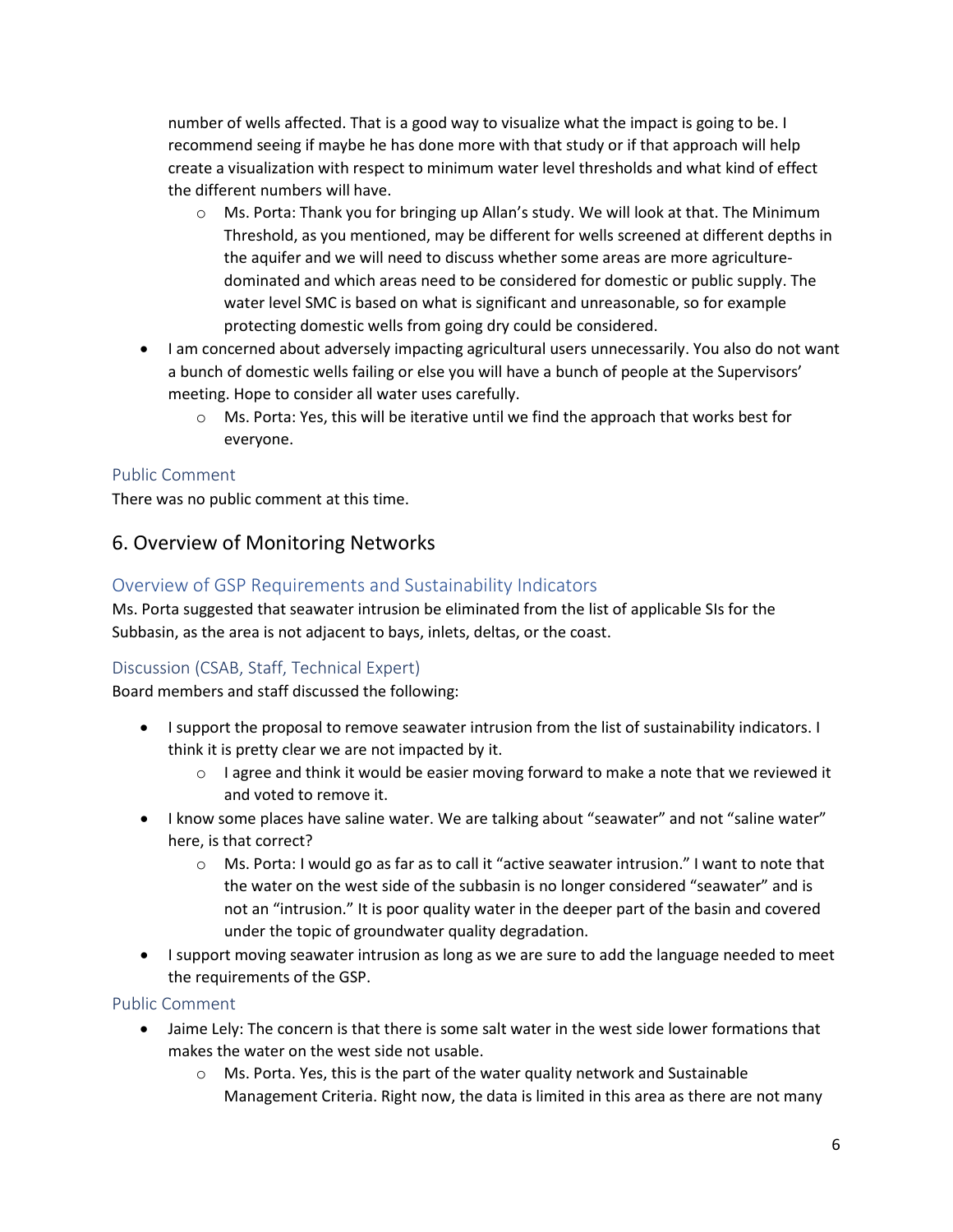number of wells affected. That is a good way to visualize what the impact is going to be. I recommend seeing if maybe he has done more with that study or if that approach will help create a visualization with respect to minimum water level thresholds and what kind of effect the different numbers will have.

- o Ms. Porta: Thank you for bringing up Allan's study. We will look at that. The Minimum Threshold, as you mentioned, may be different for wells screened at different depths in the aquifer and we will need to discuss whether some areas are more agriculturedominated and which areas need to be considered for domestic or public supply. The water level SMC is based on what is significant and unreasonable, so for example protecting domestic wells from going dry could be considered.
- I am concerned about adversely impacting agricultural users unnecessarily. You also do not want a bunch of domestic wells failing or else you will have a bunch of people at the Supervisors' meeting. Hope to consider all water uses carefully.
	- $\circ$  Ms. Porta: Yes, this will be iterative until we find the approach that works best for everyone.

## Public Comment

There was no public comment at this time.

## 6. Overview of Monitoring Networks

#### Overview of GSP Requirements and Sustainability Indicators

Ms. Porta suggested that seawater intrusion be eliminated from the list of applicable SIs for the Subbasin, as the area is not adjacent to bays, inlets, deltas, or the coast.

#### Discussion (CSAB, Staff, Technical Expert)

Board members and staff discussed the following:

- I support the proposal to remove seawater intrusion from the list of sustainability indicators. I think it is pretty clear we are not impacted by it.
	- $\circ$  I agree and think it would be easier moving forward to make a note that we reviewed it and voted to remove it.
- I know some places have saline water. We are talking about "seawater" and not "saline water" here, is that correct?
	- o Ms. Porta: I would go as far as to call it "active seawater intrusion." I want to note that the water on the west side of the subbasin is no longer considered "seawater" and is not an "intrusion." It is poor quality water in the deeper part of the basin and covered under the topic of groundwater quality degradation.
- I support moving seawater intrusion as long as we are sure to add the language needed to meet the requirements of the GSP.

Public Comment

- Jaime Lely: The concern is that there is some salt water in the west side lower formations that makes the water on the west side not usable.
	- $\circ$  Ms. Porta. Yes, this is the part of the water quality network and Sustainable Management Criteria. Right now, the data is limited in this area as there are not many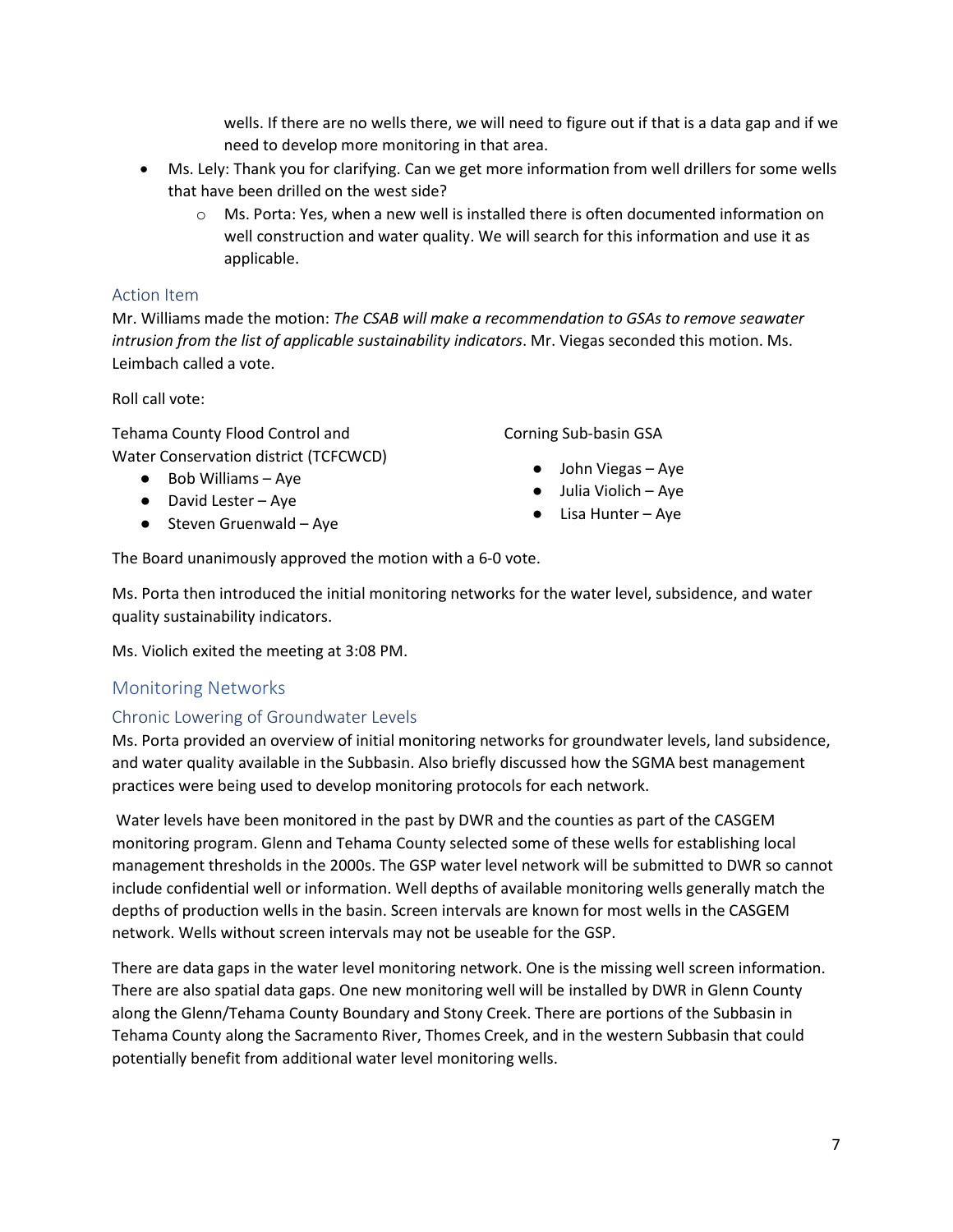wells. If there are no wells there, we will need to figure out if that is a data gap and if we need to develop more monitoring in that area.

- Ms. Lely: Thank you for clarifying. Can we get more information from well drillers for some wells that have been drilled on the west side?
	- $\circ$  Ms. Porta: Yes, when a new well is installed there is often documented information on well construction and water quality. We will search for this information and use it as applicable.

#### Action Item

Mr. Williams made the motion: *The CSAB will make a recommendation to GSAs to remove seawater intrusion from the list of applicable sustainability indicators*. Mr. Viegas seconded this motion. Ms. Leimbach called a vote.

Roll call vote:

Tehama County Flood Control and Water Conservation district (TCFCWCD)

- Bob Williams Aye
- David Lester Aye
- $\bullet$  Steven Gruenwald Aye

Corning Sub-basin GSA

- John Viegas Aye
- Julia Violich Aye
- Lisa Hunter Aye

The Board unanimously approved the motion with a 6-0 vote.

Ms. Porta then introduced the initial monitoring networks for the water level, subsidence, and water quality sustainability indicators.

Ms. Violich exited the meeting at 3:08 PM.

## Monitoring Networks

#### Chronic Lowering of Groundwater Levels

Ms. Porta provided an overview of initial monitoring networks for groundwater levels, land subsidence, and water quality available in the Subbasin. Also briefly discussed how the SGMA best management practices were being used to develop monitoring protocols for each network.

Water levels have been monitored in the past by DWR and the counties as part of the CASGEM monitoring program. Glenn and Tehama County selected some of these wells for establishing local management thresholds in the 2000s. The GSP water level network will be submitted to DWR so cannot include confidential well or information. Well depths of available monitoring wells generally match the depths of production wells in the basin. Screen intervals are known for most wells in the CASGEM network. Wells without screen intervals may not be useable for the GSP.

There are data gaps in the water level monitoring network. One is the missing well screen information. There are also spatial data gaps. One new monitoring well will be installed by DWR in Glenn County along the Glenn/Tehama County Boundary and Stony Creek. There are portions of the Subbasin in Tehama County along the Sacramento River, Thomes Creek, and in the western Subbasin that could potentially benefit from additional water level monitoring wells.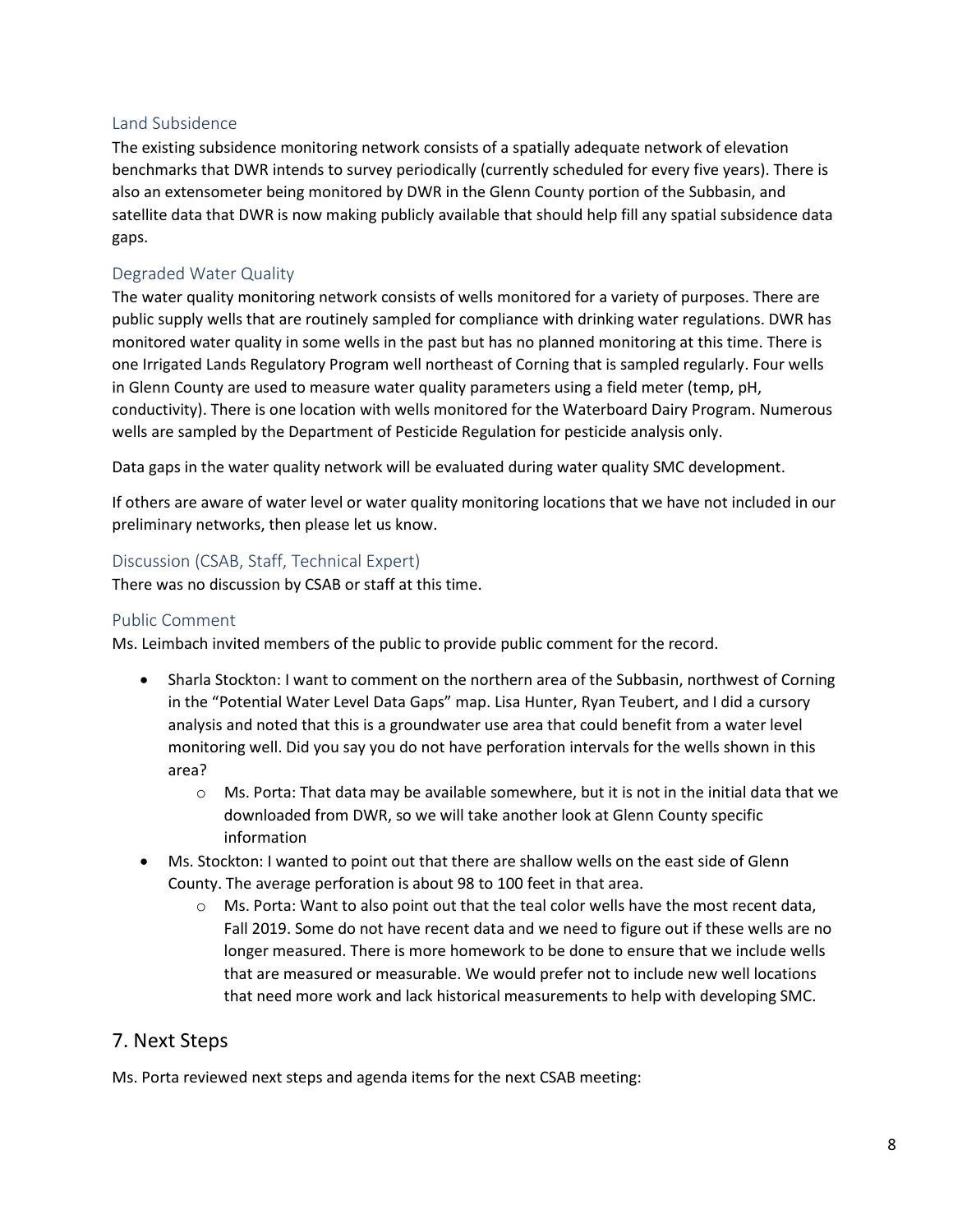#### Land Subsidence

The existing subsidence monitoring network consists of a spatially adequate network of elevation benchmarks that DWR intends to survey periodically (currently scheduled for every five years). There is also an extensometer being monitored by DWR in the Glenn County portion of the Subbasin, and satellite data that DWR is now making publicly available that should help fill any spatial subsidence data gaps.

## Degraded Water Quality

The water quality monitoring network consists of wells monitored for a variety of purposes. There are public supply wells that are routinely sampled for compliance with drinking water regulations. DWR has monitored water quality in some wells in the past but has no planned monitoring at this time. There is one Irrigated Lands Regulatory Program well northeast of Corning that is sampled regularly. Four wells in Glenn County are used to measure water quality parameters using a field meter (temp, pH, conductivity). There is one location with wells monitored for the Waterboard Dairy Program. Numerous wells are sampled by the Department of Pesticide Regulation for pesticide analysis only.

Data gaps in the water quality network will be evaluated during water quality SMC development.

If others are aware of water level or water quality monitoring locations that we have not included in our preliminary networks, then please let us know.

## Discussion (CSAB, Staff, Technical Expert)

There was no discussion by CSAB or staff at this time.

#### Public Comment

Ms. Leimbach invited members of the public to provide public comment for the record.

- Sharla Stockton: I want to comment on the northern area of the Subbasin, northwest of Corning in the "Potential Water Level Data Gaps" map. Lisa Hunter, Ryan Teubert, and I did a cursory analysis and noted that this is a groundwater use area that could benefit from a water level monitoring well. Did you say you do not have perforation intervals for the wells shown in this area?
	- $\circ$  Ms. Porta: That data may be available somewhere, but it is not in the initial data that we downloaded from DWR, so we will take another look at Glenn County specific information
- Ms. Stockton: I wanted to point out that there are shallow wells on the east side of Glenn County. The average perforation is about 98 to 100 feet in that area.
	- $\circ$  Ms. Porta: Want to also point out that the teal color wells have the most recent data, Fall 2019. Some do not have recent data and we need to figure out if these wells are no longer measured. There is more homework to be done to ensure that we include wells that are measured or measurable. We would prefer not to include new well locations that need more work and lack historical measurements to help with developing SMC.

## 7. Next Steps

Ms. Porta reviewed next steps and agenda items for the next CSAB meeting: